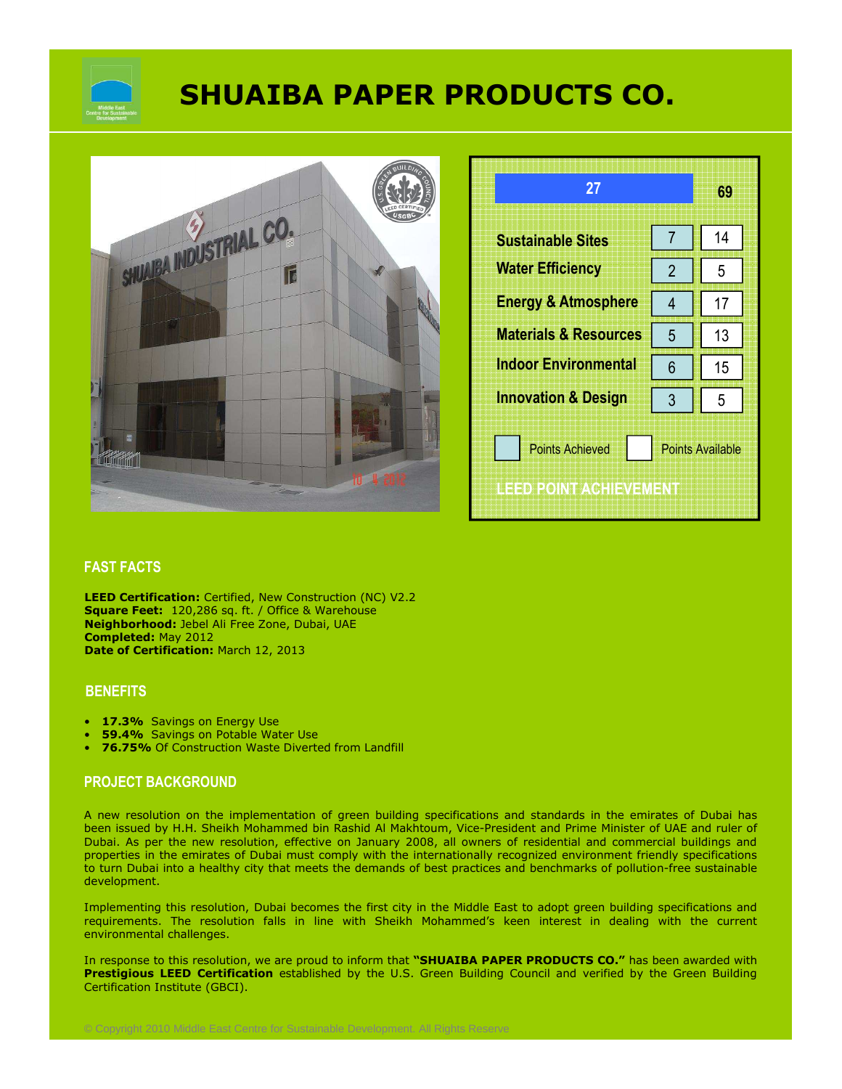

# **SHUAIBA PAPER PRODUCTS CO.**



| 27                                               |                         | 69 |  |
|--------------------------------------------------|-------------------------|----|--|
| <b>Sustainable Sites</b>                         | 7                       | 14 |  |
| <b>Water Efficiency</b>                          | $\overline{2}$          | 5  |  |
| <b>Energy &amp; Atmosphere</b>                   | 4                       | 17 |  |
| <b>Materials &amp; Resources</b>                 | 5                       | 13 |  |
| <b>Indoor Environmental</b>                      | 6                       | 15 |  |
| <b>Innovation &amp; Design</b>                   | 3                       | 5  |  |
| <b>Points Achieved</b><br>LEED POINT ACTIEVEMENT | <b>Points Available</b> |    |  |

### **FAST FACTS**

**LEED Certification:** Certified, New Construction (NC) V2.2 **Square Feet:** 120,286 sq. ft. / Office & Warehouse **Neighborhood:** Jebel Ali Free Zone, Dubai, UAE **Completed:** May 2012 **Date of Certification:** March 12, 2013

#### **BENEFITS**

- **17.3%** Savings on Energy Use
- **59.4%** Savings on Potable Water Use
- **76.75%** Of Construction Waste Diverted from Landfill

#### **PROJECT BACKGROUND**

A new resolution on the implementation of green building specifications and standards in the emirates of Dubai has been issued by H.H. Sheikh Mohammed bin Rashid Al Makhtoum, Vice-President and Prime Minister of UAE and ruler of Dubai. As per the new resolution, effective on January 2008, all owners of residential and commercial buildings and properties in the emirates of Dubai must comply with the internationally recognized environment friendly specifications to turn Dubai into a healthy city that meets the demands of best practices and benchmarks of pollution-free sustainable development.

Implementing this resolution, Dubai becomes the first city in the Middle East to adopt green building specifications and requirements. The resolution falls in line with Sheikh Mohammed's keen interest in dealing with the current environmental challenges.

In response to this resolution, we are proud to inform that **"SHUAIBA PAPER PRODUCTS CO."** has been awarded with **Prestigious LEED Certification** established by the U.S. Green Building Council and verified by the Green Building Certification Institute (GBCI).